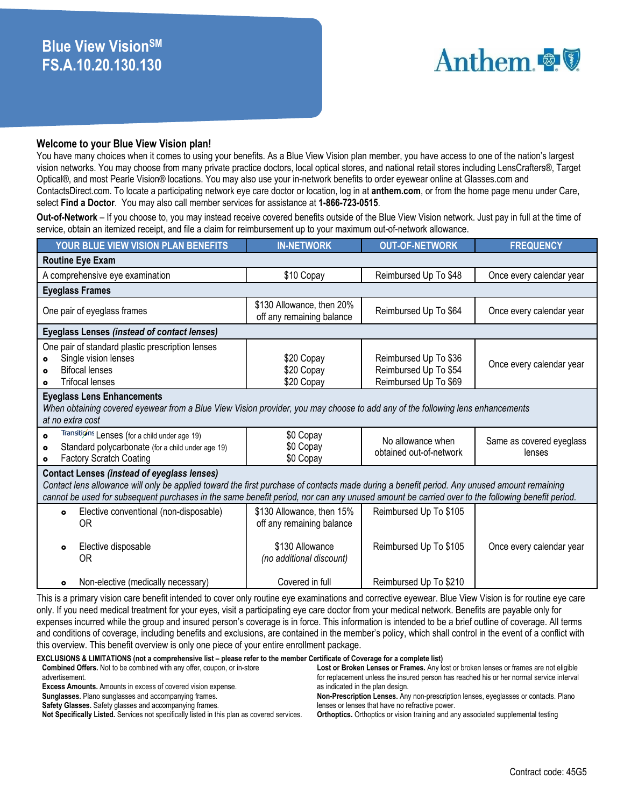# Anthem & V

#### **Welcome to your Blue View Vision plan!**

You have many choices when it comes to using your benefits. As a Blue View Vision plan member, you have access to one of the nation's largest vision networks. You may choose from many private practice doctors, local optical stores, and national retail stores including LensCrafters®, Target Optical®, and most Pearle Vision® locations. You may also use your in-network benefits to order eyewear online at Glasses.com and ContactsDirect.com. To locate a participating network eye care doctor or location, log in at **anthem.com**, or from the home page menu under Care, select **Find a Doctor**. You may also call member services for assistance at **1-866-723-0515**.

**Out-of-Network** – If you choose to, you may instead receive covered benefits outside of the Blue View Vision network. Just pay in full at the time of service, obtain an itemized receipt, and file a claim for reimbursement up to your maximum out-of-network allowance.

| YOUR BLUE VIEW VISION PLAN BENEFITS                                                                                                                                                                                                                                                                                                                 | <b>IN-NETWORK</b>                                      | <b>OUT-OF-NETWORK</b>                                                   | <b>FREQUENCY</b>                   |  |  |  |  |  |
|-----------------------------------------------------------------------------------------------------------------------------------------------------------------------------------------------------------------------------------------------------------------------------------------------------------------------------------------------------|--------------------------------------------------------|-------------------------------------------------------------------------|------------------------------------|--|--|--|--|--|
| <b>Routine Eye Exam</b>                                                                                                                                                                                                                                                                                                                             |                                                        |                                                                         |                                    |  |  |  |  |  |
| A comprehensive eye examination                                                                                                                                                                                                                                                                                                                     | \$10 Copay                                             | Reimbursed Up To \$48                                                   | Once every calendar year           |  |  |  |  |  |
| <b>Eyeglass Frames</b>                                                                                                                                                                                                                                                                                                                              |                                                        |                                                                         |                                    |  |  |  |  |  |
| One pair of eyeglass frames                                                                                                                                                                                                                                                                                                                         | \$130 Allowance, then 20%<br>off any remaining balance | Reimbursed Up To \$64                                                   |                                    |  |  |  |  |  |
| <b>Eyeglass Lenses (instead of contact lenses)</b>                                                                                                                                                                                                                                                                                                  |                                                        |                                                                         |                                    |  |  |  |  |  |
| One pair of standard plastic prescription lenses<br>Single vision lenses<br>$\bullet$<br><b>Bifocal lenses</b><br><b>Trifocal lenses</b><br>$\bullet$                                                                                                                                                                                               | \$20 Copay<br>\$20 Copay<br>\$20 Copay                 | Reimbursed Up To \$36<br>Reimbursed Up To \$54<br>Reimbursed Up To \$69 | Once every calendar year           |  |  |  |  |  |
| <b>Eyeglass Lens Enhancements</b><br>When obtaining covered eyewear from a Blue View Vision provider, you may choose to add any of the following lens enhancements<br>at no extra cost                                                                                                                                                              |                                                        |                                                                         |                                    |  |  |  |  |  |
| Transitions Lenses (for a child under age 19)<br>$\bullet$<br>Standard polycarbonate (for a child under age 19)<br>$\bullet$<br><b>Factory Scratch Coating</b><br>$\bullet$                                                                                                                                                                         | \$0 Copay<br>\$0 Copay<br>\$0 Copay                    | No allowance when<br>obtained out-of-network                            | Same as covered eyeglass<br>lenses |  |  |  |  |  |
| <b>Contact Lenses (instead of eyeglass lenses)</b><br>Contact lens allowance will only be applied toward the first purchase of contacts made during a benefit period. Any unused amount remaining<br>cannot be used for subsequent purchases in the same benefit period, nor can any unused amount be carried over to the following benefit period. |                                                        |                                                                         |                                    |  |  |  |  |  |
| Elective conventional (non-disposable)<br>$\bullet$<br><b>OR</b>                                                                                                                                                                                                                                                                                    | \$130 Allowance, then 15%<br>off any remaining balance | Reimbursed Up To \$105                                                  |                                    |  |  |  |  |  |
| Elective disposable<br>$\bullet$<br>0R                                                                                                                                                                                                                                                                                                              | \$130 Allowance<br>(no additional discount)            | Reimbursed Up To \$105<br>Once every calendar year                      |                                    |  |  |  |  |  |
| Non-elective (medically necessary)<br>$\bullet$                                                                                                                                                                                                                                                                                                     | Covered in full                                        | Reimbursed Up To \$210                                                  |                                    |  |  |  |  |  |

This is a primary vision care benefit intended to cover only routine eye examinations and corrective eyewear. Blue View Vision is for routine eye care only. If you need medical treatment for your eyes, visit a participating eye care doctor from your medical network. Benefits are payable only for expenses incurred while the group and insured person's coverage is in force. This information is intended to be a brief outline of coverage. All terms and conditions of coverage, including benefits and exclusions, are contained in the member's policy, which shall control in the event of a conflict with this overview. This benefit overview is only one piece of your entire enrollment package.

**EXCLUSIONS & LIMITATIONS (not a comprehensive list – please refer to the member Certificate of Coverage for a complete list)**

| <b>Combined Offers.</b> Not to be combined with any offer, coupon, or in-store              | Lost or Broken Lenses or Frames. Any lost or broken lenses or frames are not eligible    |
|---------------------------------------------------------------------------------------------|------------------------------------------------------------------------------------------|
| advertisement.                                                                              | for replacement unless the insured person has reached his or her normal service interval |
| <b>Excess Amounts.</b> Amounts in excess of covered vision expense.                         | as indicated in the plan design.                                                         |
| <b>Sunglasses.</b> Plano sunglasses and accompanying frames.                                | Non-Prescription Lenses. Any non-prescription lenses, eyeglasses or contacts. Plano      |
| <b>Safety Glasses.</b> Safety glasses and accompanying frames.                              | lenses or lenses that have no refractive power.                                          |
| Not Specifically Listed. Services not specifically listed in this plan as covered services. | <b>Orthoptics.</b> Orthoptics or vision training and any associated supplemental testing |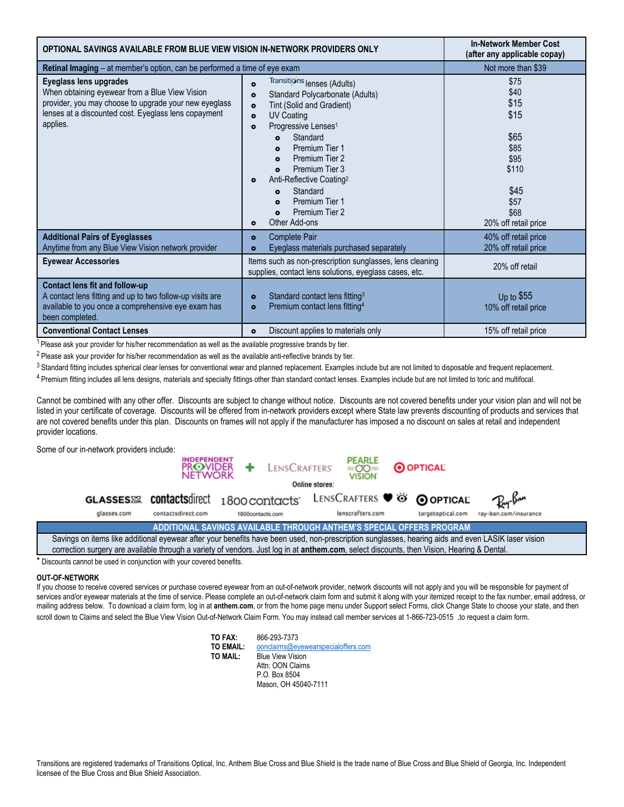| OPTIONAL SAVINGS AVAILABLE FROM BLUE VIEW VISION IN-NETWORK PROVIDERS ONLY                                                                                                                            | <b>In-Network Member Cost</b><br>(after any applicable copay)                                                                                                                                                                                                                                                                                                                                                                                                                                            |                                                                                                               |
|-------------------------------------------------------------------------------------------------------------------------------------------------------------------------------------------------------|----------------------------------------------------------------------------------------------------------------------------------------------------------------------------------------------------------------------------------------------------------------------------------------------------------------------------------------------------------------------------------------------------------------------------------------------------------------------------------------------------------|---------------------------------------------------------------------------------------------------------------|
| <b>Retinal Imaging</b> – at member's option, can be performed a time of eye exam                                                                                                                      |                                                                                                                                                                                                                                                                                                                                                                                                                                                                                                          | Not more than \$39                                                                                            |
| Eyeglass lens upgrades<br>When obtaining eyewear from a Blue View Vision<br>provider, you may choose to upgrade your new eyeglass<br>lenses at a discounted cost. Eyeglass lens copayment<br>applies. | Transitions lenses (Adults)<br>$\bullet$<br>Standard Polycarbonate (Adults)<br>$\bullet$<br>Tint (Solid and Gradient)<br>$\bullet$<br><b>UV Coating</b><br>$\bullet$<br>Progressive Lenses <sup>1</sup><br>$\bullet$<br>Standard<br>$\bullet$<br>Premium Tier 1<br>$\bullet$<br>Premium Tier 2<br>$\bullet$<br>Premium Tier 3<br>$\bullet$<br>Anti-Reflective Coating?<br>$\bullet$<br>Standard<br>$\bullet$<br>Premium Tier 1<br>$\bullet$<br>Premium Tier 2<br>$\bullet$<br>Other Add-ons<br>$\bullet$ | \$75<br>\$40<br>\$15<br>\$15<br>\$65<br>\$85<br>\$95<br>\$110<br>\$45<br>\$57<br>\$68<br>20% off retail price |
| <b>Additional Pairs of Eyeglasses</b><br>Anytime from any Blue View Vision network provider                                                                                                           | <b>Complete Pair</b><br>$\bullet$<br>Eyeglass materials purchased separately<br>۰                                                                                                                                                                                                                                                                                                                                                                                                                        | 40% off retail price<br>20% off retail price                                                                  |
| <b>Eyewear Accessories</b>                                                                                                                                                                            | Items such as non-prescription sunglasses, lens cleaning<br>supplies, contact lens solutions, eyeglass cases, etc.                                                                                                                                                                                                                                                                                                                                                                                       | 20% off retail                                                                                                |
| Contact lens fit and follow-up<br>A contact lens fitting and up to two follow-up visits are<br>available to you once a comprehensive eye exam has<br>been completed.                                  | Standard contact lens fitting <sup>3</sup><br>$\bullet$<br>Premium contact lens fitting <sup>4</sup><br>$\bullet$                                                                                                                                                                                                                                                                                                                                                                                        | Up to \$55<br>10% off retail price                                                                            |
| <b>Conventional Contact Lenses</b>                                                                                                                                                                    | Discount applies to materials only<br>$\bullet$                                                                                                                                                                                                                                                                                                                                                                                                                                                          | 15% off retail price                                                                                          |

 $1$  Please ask your provider for his/her recommendation as well as the available progressive brands by tier.

<sup>2</sup> Please ask your provider for his/her recommendation as well as the available anti-reflective brands by tier.

<sup>3</sup> Standard fitting includes spherical clear lenses for conventional wear and planned replacement. Examples include but are not limited to disposable and frequent replacement.

4 Premium fitting includes all lens designs, materials and specialty fittings other than standard contact lenses. Examples include but are not limited to toric and multifocal.

Cannot be combined with any other offer. Discounts are subject to change without notice. Discounts are not covered benefits under your vision plan and will not be listed in your certificate of coverage. Discounts will be offered from in-network providers except where State law prevents discounting of products and services that are not covered benefits under this plan. Discounts on frames will not apply if the manufacturer has imposed a no discount on sales at retail and independent provider locations.

Some of our in-network providers include:

|                                                                                                                                                    | <b>INDEPENDENT</b><br><b>PROVIDER</b><br><b>NETWORK</b> | + LENSCRAFTERS'              | <b>PEARLE</b><br>EOOIE   | <b>O OPTICAL</b>  |                       |
|----------------------------------------------------------------------------------------------------------------------------------------------------|---------------------------------------------------------|------------------------------|--------------------------|-------------------|-----------------------|
| Online stores:                                                                                                                                     |                                                         |                              |                          |                   |                       |
| <b>GLASSES</b> &                                                                                                                                   |                                                         | contactsdirect 1800 contacts | LENSCRAFTERS VO OOPTICAL |                   | Pay-Bar               |
| glasses.com                                                                                                                                        | contactsdirect.com                                      | 1800contacts.com             | lenscrafters.com         | targetoptical.com | ray-ban.com/insurance |
| ADDITIONAL SAVINGS AVAILABLE THROUGH ANTHEM'S SPECIAL OFFERS PROGRAM                                                                               |                                                         |                              |                          |                   |                       |
| Savings on items like additional eyewear after your benefits have been used, non-prescription sunglasses, hearing aids and even LASIK laser vision |                                                         |                              |                          |                   |                       |
| correction surgery are available through a variety of vendors. Just log in at anthem.com, select discounts, then Vision, Hearing & Dental.         |                                                         |                              |                          |                   |                       |

Discounts cannot be used in conjunction with your covered benefits.

#### **OUT-OF-NETWORK**

If you choose to receive covered services or purchase covered eyewear from an out-of-network provider, network discounts will not apply and you will be responsible for payment of services and/or eyewear materials at the time of service. Please complete an out-of-network claim form and submit it along with your itemized receipt to the fax number, email address, or mailing address below. To download a claim form, log in at **anthem.com**, or from the home page menu under Support select Forms, click Change State to choose your state, and then scroll down to Claims and select the Blue View Vision Out-of-Network Claim Form. You may instead call member services at 1-866-723-0515 .to request a claim form.

> **TO FAX:** 866-293-7373<br>**TO EMAIL:** oonclaims@ev **TO EMAIL:** [oonclaims@eyewearspecialoffers.com](mailto:oonclaims@eyewearspecialoffers.com)<br> **TO MAIL:** Blue View Vision **Rlue View Vision** Attn: OON Claims P.O. Box 8504 Mason, OH 45040-7111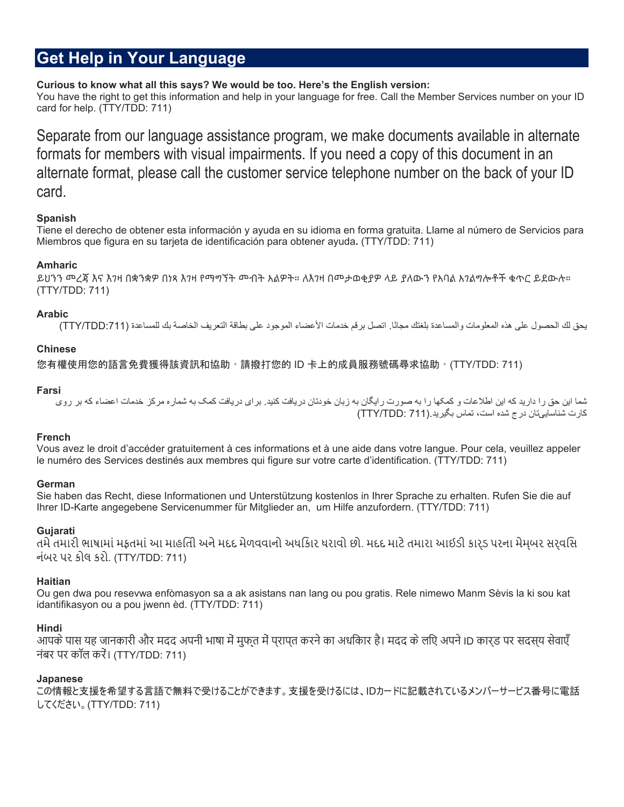## **Get Help in Your Language**

#### **Curious to know what all this says? We would be too. Here's the English version:**

You have the right to get this information and help in your language for free. Call the Member Services number on your ID card for help. (TTY/TDD: 711)

Separate from our language assistance program, we make documents available in alternate formats for members with visual impairments. If you need a copy of this document in an alternate format, please call the customer service telephone number on the back of your ID card.

### **Spanish**

Tiene el derecho de obtener esta información y ayuda en su idioma en forma gratuita. Llame al número de Servicios para Miembros que figura en su tarjeta de identificación para obtener ayuda**.** (TTY/TDD: 711)

### **Amharic**

ይህንን መረጃ እና እገዛ በቋንቋዎ በነጻ እገዛ የማግኘት መብት አልዎት። ለእገዛ በመታወቂያዎ ላይ ያለውን የአባል አገልግሎቶች ቁጥር ይደውሉ። (TTY/TDD: 711)

### **Arabic**

یحق لك الحصول على هذه المعلومات والمساعدة بلغتك مجانًا. اتصل برقم خدمات الأعضاء الموجود على بطاقة التعریف الخاصة بك للمساعدة (:711TDD/TTY(

#### **Chinese**

您有權使用您的語言免費獲得該資訊和協助。請撥打您的 ID 卡上的成員服務號碼尋求協助。(TTY/TDD: 711)

#### **Farsi**

شما این حق را دارید که این اطلاعات و کمکها را به صورت رایگان به زبان خودتان دریافت کنید. برای دریافت کمک به شماره مرکز خدمات اعضاء که بر روی کارت شناساییتان درج شده است، تماس بگیرید.(711 :TDD/TTY (

### **French**

Vous avez le droit d'accéder gratuitement à ces informations et à une aide dans votre langue. Pour cela, veuillez appeler le numéro des Services destinés aux membres qui figure sur votre carte d'identification. (TTY/TDD: 711)

### **German**

Sie haben das Recht, diese Informationen und Unterstützung kostenlos in Ihrer Sprache zu erhalten. Rufen Sie die auf Ihrer ID-Karte angegebene Servicenummer für Mitglieder an, um Hilfe anzufordern. (TTY/TDD: 711)

### **Gujarati**

તમેતમારી ભાષામાંમફતમાંઆ માહિતી અનેમદદ મેળવવાનો અધિકાર ધરાવો છો. મદદ માટેતમારા આઈડી કાર્ડ પરના મેમ્બર સર્વિસ નંબર પર કોલ કરો. (TTY/TDD: 711)

### **Haitian**

Ou gen dwa pou resevwa enfòmasyon sa a ak asistans nan lang ou pou gratis. Rele nimewo Manm Sèvis la ki sou kat idantifikasyon ou a pou jwenn èd. (TTY/TDD: 711)

### **Hindi**

आपके पास यह जानकारी और मदद अपनी भाषा में मुफ़्त में पुरापत करने का अधकािर है। मदद के लएि अपने ID कारुड पर सदसुय सेवाएँ नंबर पर कॉल करें। (TTY/TDD: 711)

### **Japanese**

この情報と支援を希望する言語で無料で受けることができます。支援を受けるには、IDカードに記載されているメンバーサービス番号に電話 してください。(TTY/TDD: 711)